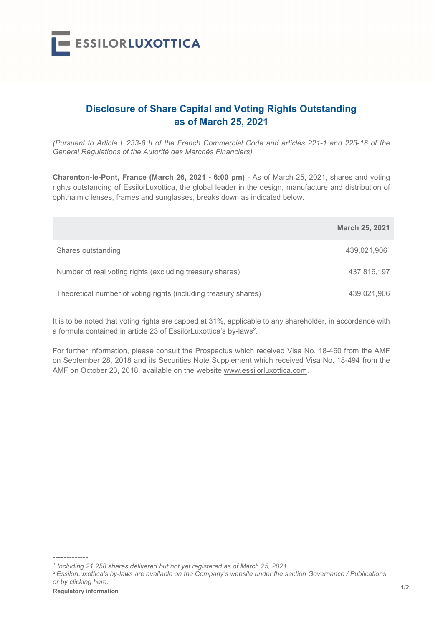

## Disclosure of Share Capital and Voting Rights Outstanding as of March 25, 2021

(Pursuant to Article L.233-8 II of the French Commercial Code and articles 221-1 and 223-16 of the General Regulations of the Autorité des Marchés Financiers)

Charenton-le-Pont, France (March 26, 2021 - 6:00 pm) - As of March 25, 2021, shares and voting rights outstanding of EssilorLuxottica, the global leader in the design, manufacture and distribution of ophthalmic lenses, frames and sunglasses, breaks down as indicated below.

|                                                                 | <b>March 25, 2021</b> |
|-----------------------------------------------------------------|-----------------------|
| Shares outstanding                                              | 439,021,9061          |
| Number of real voting rights (excluding treasury shares)        | 437,816,197           |
| Theoretical number of voting rights (including treasury shares) | 439,021,906           |

It is to be noted that voting rights are capped at 31%, applicable to any shareholder, in accordance with a formula contained in article 23 of EssilorLuxottica's by-laws<sup>2</sup>.

For further information, please consult the Prospectus which received Visa No. 18-460 from the AMF on September 28, 2018 and its Securities Note Supplement which received Visa No. 18-494 from the AMF on October 23, 2018, available on the website www.essilorluxottica.com.

 $1/2$  Regulatory information  $1/2$ <sup>2</sup>EssilorLuxottica's by-laws are available on the Company's website under the section Governance / Publications or by clicking here.

-------------

<sup>&</sup>lt;sup>1</sup> Including 21,258 shares delivered but not yet registered as of March 25, 2021.